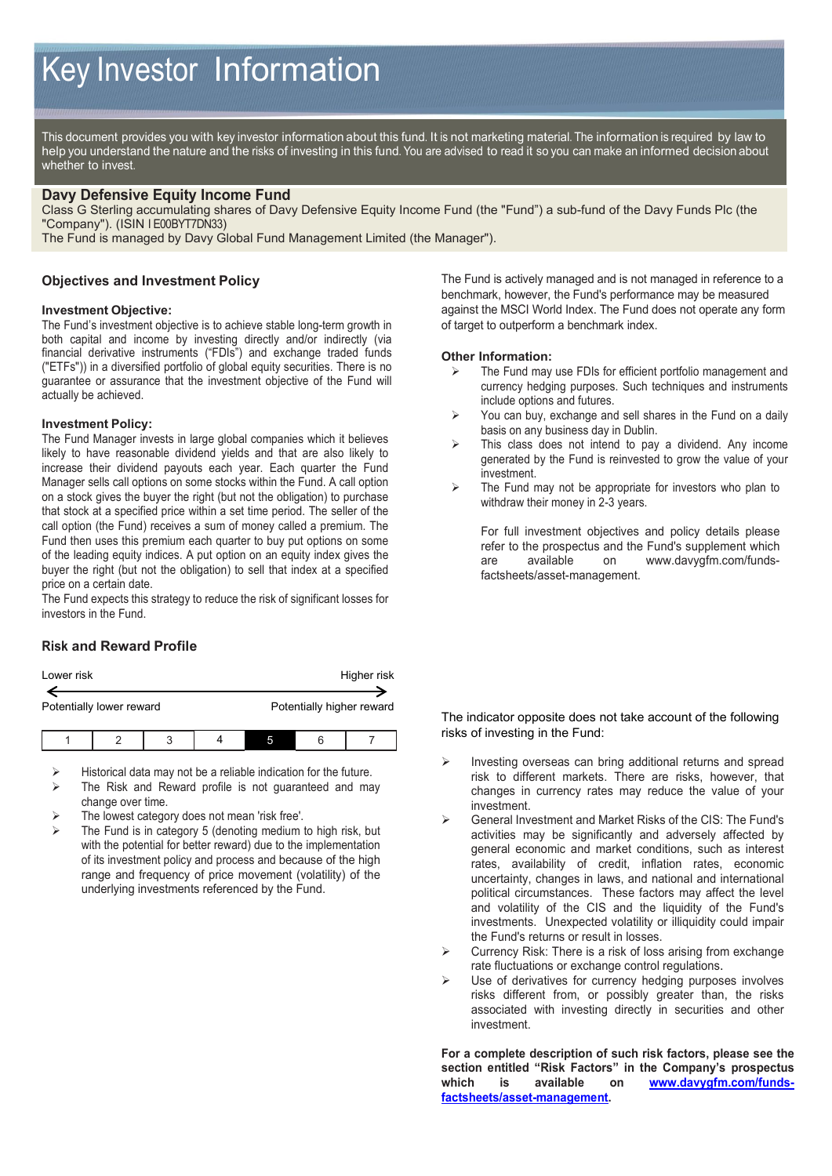# Key Investor Information

This document provides you with key investor information about this fund. It is not marketing material. The information is required by law to help you understand the nature and the risks of investing in this fund. You are advised to read it so you can make an informed decision about whether to invest.

#### **Davy Defensive Equity Income Fund**

Class G Sterling accumulating shares of Davy Defensive Equity Income Fund (the "Fund") a sub-fund of the Davy Funds Plc (the "Company"). (ISIN I E00BYT7DN33)

The Fund is managed by Davy Global Fund Management Limited (the Manager").

### **Objectives and Investment Policy**

#### **Investment Objective:**

The Fund's investment objective is to achieve stable long-term growth in both capital and income by investing directly and/or indirectly (via financial derivative instruments ("FDIs") and exchange traded funds ("ETFs")) in a diversified portfolio of global equity securities. There is no guarantee or assurance that the investment objective of the Fund will actually be achieved.

#### **Investment Policy:**

The Fund Manager invests in large global companies which it believes likely to have reasonable dividend yields and that are also likely to increase their dividend payouts each year. Each quarter the Fund Manager sells call options on some stocks within the Fund. A call option on a stock gives the buyer the right (but not the obligation) to purchase that stock at a specified price within a set time period. The seller of the call option (the Fund) receives a sum of money called a premium. The Fund then uses this premium each quarter to buy put options on some of the leading equity indices. A put option on an equity index gives the buyer the right (but not the obligation) to sell that index at a specified price on a certain date.

The Fund expects this strategy to reduce the risk of significant losses for investors in the Fund.

## **Risk and Reward Profile**

| Lower risk               |  |   |  |  | Higher risk               |
|--------------------------|--|---|--|--|---------------------------|
|                          |  |   |  |  |                           |
| Potentially lower reward |  |   |  |  | Potentially higher reward |
|                          |  | р |  |  |                           |

- Historical data may not be a reliable indication for the future.
- The Risk and Reward profile is not guaranteed and may change over time.
- The lowest category does not mean 'risk free'.
- The Fund is in category 5 (denoting medium to high risk, but with the potential for better reward) due to the implementation of its investment policy and process and because of the high range and frequency of price movement (volatility) of the underlying investments referenced by the Fund.

The Fund is actively managed and is not managed in reference to a benchmark, however, the Fund's performance may be measured against the MSCI World Index. The Fund does not operate any form of target to outperform a benchmark index.

#### **Other Information:**

- The Fund may use FDIs for efficient portfolio management and currency hedging purposes. Such techniques and instruments include options and futures.
- $\triangleright$  You can buy, exchange and sell shares in the Fund on a daily basis on any business day in Dublin.
- This class does not intend to pay a dividend. Any income generated by the Fund is reinvested to grow the value of your investment.
- $\triangleright$  The Fund may not be appropriate for investors who plan to withdraw their money in 2-3 years.

For full investment objectives and policy details please refer to the prospectus and the Fund's supplement which are available on www.davygfm.com/fundsfactsheets/asset-management.

The indicator opposite does not take account of the following risks of investing in the Fund:

- $\triangleright$  Investing overseas can bring additional returns and spread risk to different markets. There are risks, however, that changes in currency rates may reduce the value of your investment.
- General Investment and Market Risks of the CIS: The Fund's activities may be significantly and adversely affected by general economic and market conditions, such as interest rates, availability of credit, inflation rates, economic uncertainty, changes in laws, and national and international political circumstances. These factors may affect the level and volatility of the CIS and the liquidity of the Fund's investments. Unexpected volatility or illiquidity could impair the Fund's returns or result in losses.
- Currency Risk: There is a risk of loss arising from exchange rate fluctuations or exchange control regulations.
- Use of derivatives for currency hedging purposes involves risks different from, or possibly greater than, the risks associated with investing directly in securities and other investment.

**For a complete description of such risk factors, please see the section entitled "Risk Factors" in the Company's prospectus**  is available on **[www.davygfm.com/funds](http://www.davygfm.com/funds-factsheets/asset-management)[factsheets/asset-management.](http://www.davygfm.com/funds-factsheets/asset-management)**